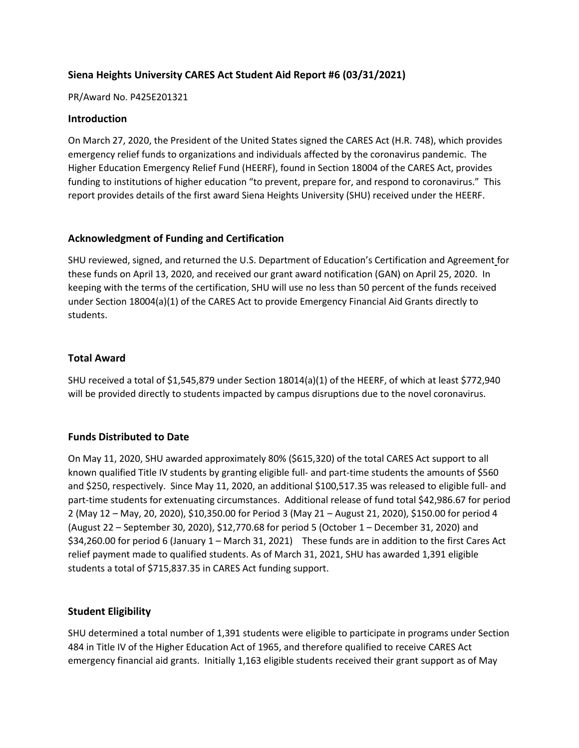# **Siena Heights University CARES Act Student Aid Report #6 (03/31/2021)**

#### PR/Award No. P425E201321

#### **Introduction**

On March 27, 2020, the President of the United States signed the CARES Act (H.R. 748), which provides emergency relief funds to organizations and individuals affected by the coronavirus pandemic. The Higher Education Emergency Relief Fund (HEERF), found in Section 18004 of the CARES Act, provides funding to institutions of higher education "to prevent, prepare for, and respond to coronavirus." This report provides details of the first award Siena Heights University (SHU) received under the HEERF.

### **Acknowledgment of Funding and Certification**

SHU reviewed, signed, and returned the U.S. Department of Education's Certification and Agreement for these funds on April 13, 2020, and received our grant award notification (GAN) on April 25, 2020. In keeping with the terms of the certification, SHU will use no less than 50 percent of the funds received under Section 18004(a)(1) of the CARES Act to provide Emergency Financial Aid Grants directly to students.

### **Total Award**

SHU received a total of \$1,545,879 under Section 18014(a)(1) of the HEERF, of which at least \$772,940 will be provided directly to students impacted by campus disruptions due to the novel coronavirus.

## **Funds Distributed to Date**

On May 11, 2020, SHU awarded approximately 80% (\$615,320) of the total CARES Act support to all known qualified Title IV students by granting eligible full- and part-time students the amounts of \$560 and \$250, respectively. Since May 11, 2020, an additional \$100,517.35 was released to eligible full- and part-time students for extenuating circumstances. Additional release of fund total \$42,986.67 for period 2 (May 12 – May, 20, 2020), \$10,350.00 for Period 3 (May 21 – August 21, 2020), \$150.00 for period 4 (August 22 – September 30, 2020), \$12,770.68 for period 5 (October 1 – December 31, 2020) and \$34,260.00 for period 6 (January 1 – March 31, 2021) These funds are in addition to the first Cares Act relief payment made to qualified students. As of March 31, 2021, SHU has awarded 1,391 eligible students a total of \$715,837.35 in CARES Act funding support.

## **Student Eligibility**

SHU determined a total number of 1,391 students were eligible to participate in programs under Section 484 in Title IV of the Higher Education Act of 1965, and therefore qualified to receive CARES Act emergency financial aid grants. Initially 1,163 eligible students received their grant support as of May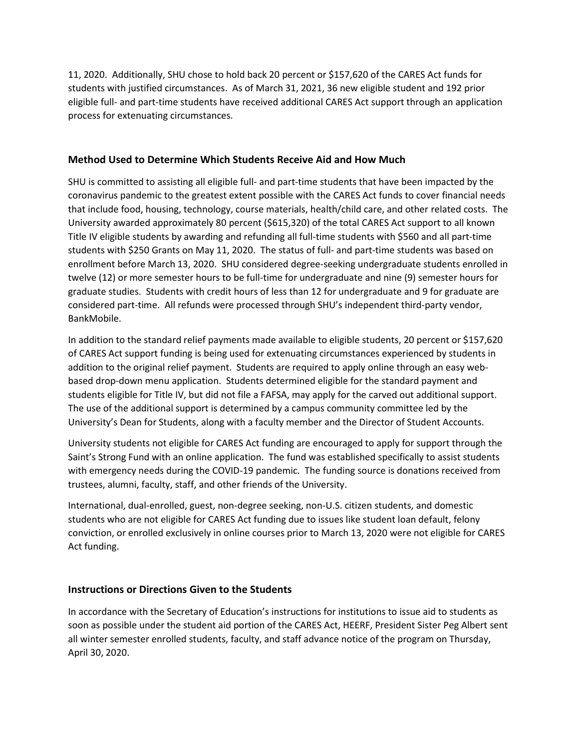11, 2020. Additionally, SHU chose to hold back 20 percent or \$157,620 of the CARES Act funds for students with justified circumstances. As of March 31, 2021, 36 new eligible student and 192 prior eligible full- and part-time students have received additional CARES Act support through an application process for extenuating circumstances.

## **Method Used to Determine Which Students Receive Aid and How Much**

SHU is committed to assisting all eligible full- and part-time students that have been impacted by the coronavirus pandemic to the greatest extent possible with the CARES Act funds to cover financial needs that include food, housing, technology, course materials, health/child care, and other related costs. The University awarded approximately 80 percent (\$615,320) of the total CARES Act support to all known Title IV eligible students by awarding and refunding all full-time students with \$560 and all part-time students with \$250 Grants on May 11, 2020. The status of full- and part-time students was based on enrollment before March 13, 2020. SHU considered degree-seeking undergraduate students enrolled in twelve (12) or more semester hours to be full-time for undergraduate and nine (9) semester hours for graduate studies. Students with credit hours of less than 12 for undergraduate and 9 for graduate are considered part-time. All refunds were processed through SHU's independent third-party vendor, BankMobile.

In addition to the standard relief payments made available to eligible students, 20 percent or \$157,620 of CARES Act support funding is being used for extenuating circumstances experienced by students in addition to the original relief payment. Students are required to apply online through an easy webbased drop-down menu application. Students determined eligible for the standard payment and students eligible for Title IV, but did not file a FAFSA, may apply for the carved out additional support. The use of the additional support is determined by a campus community committee led by the University's Dean for Students, along with a faculty member and the Director of Student Accounts.

University students not eligible for CARES Act funding are encouraged to apply for support through the Saint's Strong Fund with an online application. The fund was established specifically to assist students with emergency needs during the COVID-19 pandemic. The funding source is donations received from trustees, alumni, faculty, staff, and other friends of the University.

International, dual-enrolled, guest, non-degree seeking, non-U.S. citizen students, and domestic students who are not eligible for CARES Act funding due to issues like student loan default, felony conviction, or enrolled exclusively in online courses prior to March 13, 2020 were not eligible for CARES Act funding.

# **Instructions or Directions Given to the Students**

In accordance with the Secretary of Education's instructions for institutions to issue aid to students as soon as possible under the student aid portion of the CARES Act, HEERF, President Sister Peg Albert sent all winter semester enrolled students, faculty, and staff advance notice of the program on Thursday, April 30, 2020.